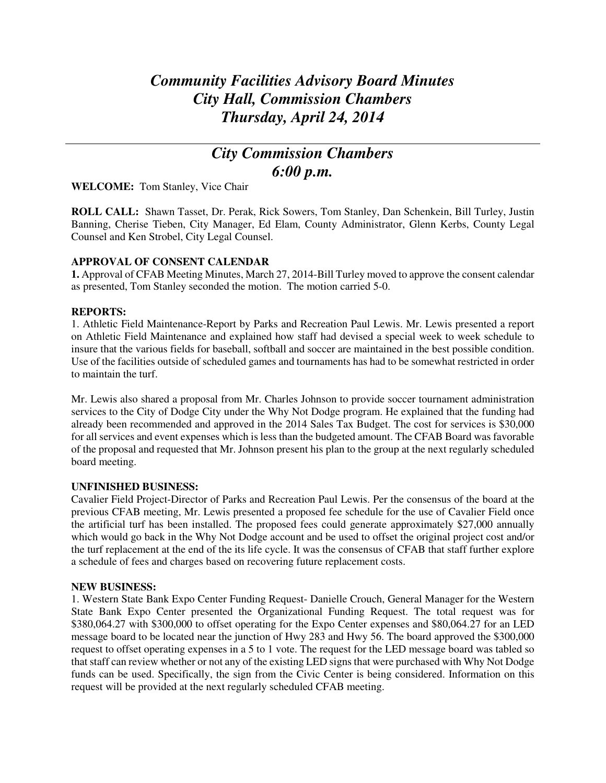# *Community Facilities Advisory Board Minutes City Hall, Commission Chambers Thursday, April 24, 2014*

# *City Commission Chambers 6:00 p.m.*

**WELCOME:** Tom Stanley, Vice Chair

**ROLL CALL:** Shawn Tasset, Dr. Perak, Rick Sowers, Tom Stanley, Dan Schenkein, Bill Turley, Justin Banning, Cherise Tieben, City Manager, Ed Elam, County Administrator, Glenn Kerbs, County Legal Counsel and Ken Strobel, City Legal Counsel.

### **APPROVAL OF CONSENT CALENDAR**

**1.** Approval of CFAB Meeting Minutes, March 27, 2014-Bill Turley moved to approve the consent calendar as presented, Tom Stanley seconded the motion. The motion carried 5-0.

### **REPORTS:**

1. Athletic Field Maintenance-Report by Parks and Recreation Paul Lewis. Mr. Lewis presented a report on Athletic Field Maintenance and explained how staff had devised a special week to week schedule to insure that the various fields for baseball, softball and soccer are maintained in the best possible condition. Use of the facilities outside of scheduled games and tournaments has had to be somewhat restricted in order to maintain the turf.

Mr. Lewis also shared a proposal from Mr. Charles Johnson to provide soccer tournament administration services to the City of Dodge City under the Why Not Dodge program. He explained that the funding had already been recommended and approved in the 2014 Sales Tax Budget. The cost for services is \$30,000 for all services and event expenses which is less than the budgeted amount. The CFAB Board was favorable of the proposal and requested that Mr. Johnson present his plan to the group at the next regularly scheduled board meeting.

### **UNFINISHED BUSINESS:**

Cavalier Field Project-Director of Parks and Recreation Paul Lewis. Per the consensus of the board at the previous CFAB meeting, Mr. Lewis presented a proposed fee schedule for the use of Cavalier Field once the artificial turf has been installed. The proposed fees could generate approximately \$27,000 annually which would go back in the Why Not Dodge account and be used to offset the original project cost and/or the turf replacement at the end of the its life cycle. It was the consensus of CFAB that staff further explore a schedule of fees and charges based on recovering future replacement costs.

### **NEW BUSINESS:**

1. Western State Bank Expo Center Funding Request- Danielle Crouch, General Manager for the Western State Bank Expo Center presented the Organizational Funding Request. The total request was for \$380,064.27 with \$300,000 to offset operating for the Expo Center expenses and \$80,064.27 for an LED message board to be located near the junction of Hwy 283 and Hwy 56. The board approved the \$300,000 request to offset operating expenses in a 5 to 1 vote. The request for the LED message board was tabled so that staff can review whether or not any of the existing LED signs that were purchased with Why Not Dodge funds can be used. Specifically, the sign from the Civic Center is being considered. Information on this request will be provided at the next regularly scheduled CFAB meeting.